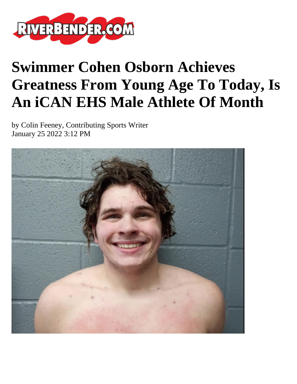

## **Swimmer Cohen Osborn Achieves Greatness From Young Age To Today, Is An iCAN EHS Male Athlete Of Month**

by Colin Feeney, Contributing Sports Writer January 25 2022 3:12 PM

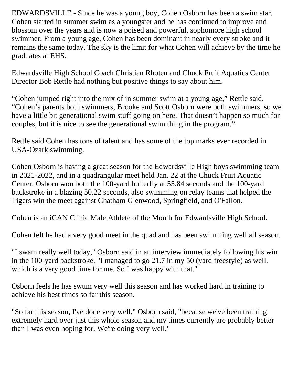EDWARDSVILLE - Since he was a young boy, Cohen Osborn has been a swim star. Cohen started in summer swim as a youngster and he has continued to improve and blossom over the years and is now a poised and powerful, sophomore high school swimmer. From a young age, Cohen has been dominant in nearly every stroke and it remains the same today. The sky is the limit for what Cohen will achieve by the time he graduates at EHS.

Edwardsville High School Coach Christian Rhoten and Chuck Fruit Aquatics Center Director Bob Rettle had nothing but positive things to say about him.

"Cohen jumped right into the mix of in summer swim at a young age," Rettle said. "Cohen's parents both swimmers, Brooke and Scott Osborn were both swimmers, so we have a little bit generational swim stuff going on here. That doesn't happen so much for couples, but it is nice to see the generational swim thing in the program."

Rettle said Cohen has tons of talent and has some of the top marks ever recorded in USA-Ozark swimming.

Cohen Osborn is having a great season for the Edwardsville High boys swimming team in 2021-2022, and in a quadrangular meet held Jan. 22 at the Chuck Fruit Aquatic Center, Osborn won both the 100-yard butterfly at 55.84 seconds and the 100-yard backstroke in a blazing 50.22 seconds, also swimming on relay teams that helped the Tigers win the meet against Chatham Glenwood, Springfield, and O'Fallon.

Cohen is an iCAN Clinic Male Athlete of the Month for Edwardsville High School.

Cohen felt he had a very good meet in the quad and has been swimming well all season.

"I swam really well today," Osborn said in an interview immediately following his win in the 100-yard backstroke. "I managed to go 21.7 in my 50 (yard freestyle) as well, which is a very good time for me. So I was happy with that."

Osborn feels he has swum very well this season and has worked hard in training to achieve his best times so far this season.

"So far this season, I've done very well," Osborn said, "because we've been training extremely hard over just this whole season and my times currently are probably better than I was even hoping for. We're doing very well."